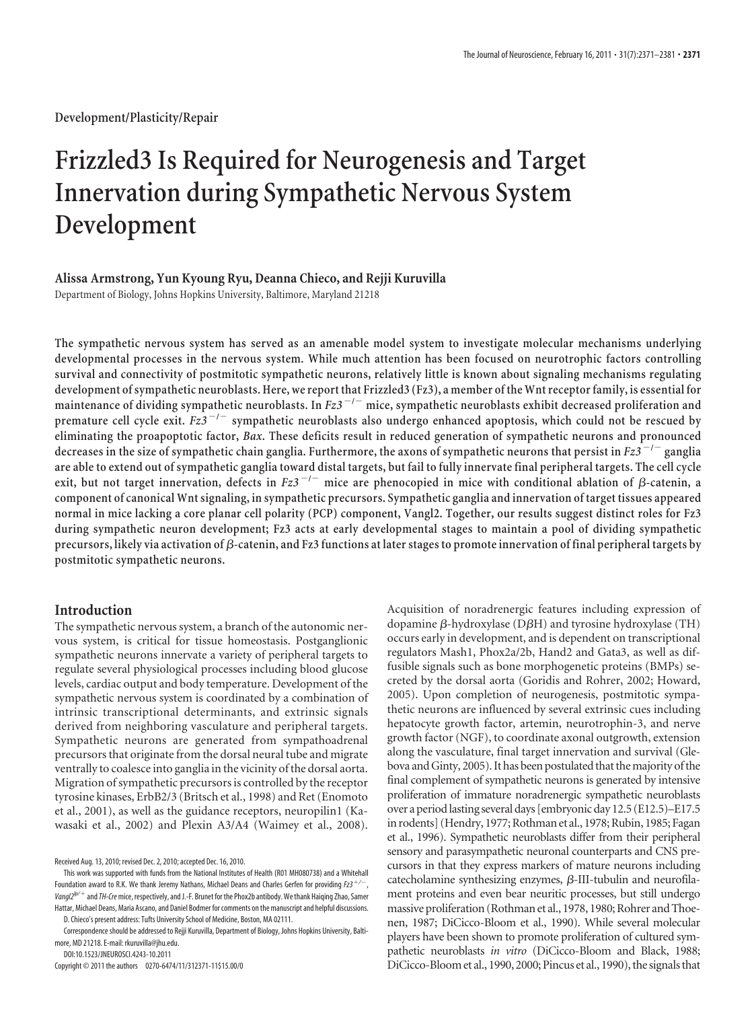**Development/Plasticity/Repair**

# **Frizzled3 Is Required for Neurogenesis and Target Innervation during Sympathetic Nervous System Development**

## **Alissa Armstrong, Yun Kyoung Ryu, Deanna Chieco, and Rejji Kuruvilla**

Department of Biology, Johns Hopkins University, Baltimore, Maryland 21218

**The sympathetic nervous system has served as an amenable model system to investigate molecular mechanisms underlying developmental processes in the nervous system. While much attention has been focused on neurotrophic factors controlling survival and connectivity of postmitotic sympathetic neurons, relatively little is known about signaling mechanisms regulating development of sympathetic neuroblasts. Here, we reportthat Frizzled3 (Fz3), a member ofthe Wnt receptor family, is essential for maintenance of dividing sympathetic neuroblasts. In** *Fz3* **/ mice, sympathetic neuroblasts exhibit decreased proliferation and premature cell cycle exit.** *Fz3* **/ sympathetic neuroblasts also undergo enhanced apoptosis, which could not be rescued by eliminating the proapoptotic factor,** *Bax***. These deficits result in reduced generation of sympathetic neurons and pronounced decreases in the size of sympathetic chain ganglia. Furthermore, the axons of sympathetic neurons that persist in** *Fz3* **/ ganglia are able to extend out of sympathetic ganglia toward distal targets, but fail to fully innervate final peripheral targets. The cell cycle** exit, but not target innervation, defects in  $Fz3^{-/-}$  mice are phenocopied in mice with conditional ablation of  $\beta$ -catenin, a **component of canonical Wnt signaling, in sympathetic precursors. Sympathetic ganglia and innervation of target tissues appeared normal in mice lacking a core planar cell polarity (PCP) component, Vangl2. Together, our results suggest distinct roles for Fz3 during sympathetic neuron development; Fz3 acts at early developmental stages to maintain a pool of dividing sympathetic** precursors, likely via activation of  $\beta$ -catenin, and Fz3 functions at later stages to promote innervation of final peripheral targets by **postmitotic sympathetic neurons.**

## **Introduction**

The sympathetic nervous system, a branch of the autonomic nervous system, is critical for tissue homeostasis. Postganglionic sympathetic neurons innervate a variety of peripheral targets to regulate several physiological processes including blood glucose levels, cardiac output and body temperature. Development of the sympathetic nervous system is coordinated by a combination of intrinsic transcriptional determinants, and extrinsic signals derived from neighboring vasculature and peripheral targets. Sympathetic neurons are generated from sympathoadrenal precursors that originate from the dorsal neural tube and migrate ventrally to coalesce into ganglia in the vicinity of the dorsal aorta. Migration of sympathetic precursors is controlled by the receptor tyrosine kinases, ErbB2/3 (Britsch et al., 1998) and Ret (Enomoto et al., 2001), as well as the guidance receptors, neuropilin1 (Kawasaki et al., 2002) and Plexin A3/A4 (Waimey et al., 2008).

This work was supported with funds from the National Institutes of Health (R01 MH080738) and a Whitehall Foundation award to R.K. We thank Jeremy Nathans, Michael Deans and Charles Gerfen for providing *Fz3*-*/*, *Vangl2lp/*- and*TH-Cre*mice, respectively, and J.-F. Brunet for the Phox2b antibody. We thank Haiqing Zhao, Samer Hattar, Michael Deans, Maria Ascano, and Daniel Bodmer for comments on the manuscript and helpful discussions. D. Chieco's present address: Tufts University School of Medicine, Boston, MA 02111.

DOI:10.1523/JNEUROSCI.4243-10.2011

Copyright © 2011 the authors 0270-6474/11/312371-11\$15.00/0

Acquisition of noradrenergic features including expression of dopamine  $\beta$ -hydroxylase (D $\beta$ H) and tyrosine hydroxylase (TH) occurs early in development, and is dependent on transcriptional regulators Mash1, Phox2a/2b, Hand2 and Gata3, as well as diffusible signals such as bone morphogenetic proteins (BMPs) secreted by the dorsal aorta (Goridis and Rohrer, 2002; Howard, 2005). Upon completion of neurogenesis, postmitotic sympathetic neurons are influenced by several extrinsic cues including hepatocyte growth factor, artemin, neurotrophin-3, and nerve growth factor (NGF), to coordinate axonal outgrowth, extension along the vasculature, final target innervation and survival (Glebova and Ginty, 2005). It has been postulated that themajority of the final complement of sympathetic neurons is generated by intensive proliferation of immature noradrenergic sympathetic neuroblasts over a period lasting several days [embryonic day 12.5 (E12.5)–E17.5 in rodents] (Hendry, 1977; Rothman et al., 1978; Rubin, 1985; Fagan et al., 1996). Sympathetic neuroblasts differ from their peripheral sensory and parasympathetic neuronal counterparts and CNS precursors in that they express markers of mature neurons including catecholamine synthesizing enzymes,  $\beta$ -III-tubulin and neurofilament proteins and even bear neuritic processes, but still undergo massive proliferation (Rothman et al., 1978, 1980; Rohrer and Thoenen, 1987; DiCicco-Bloom et al., 1990). While several molecular players have been shown to promote proliferation of cultured sympathetic neuroblasts *in vitro* (DiCicco-Bloom and Black, 1988; DiCicco-Bloom et al., 1990, 2000; Pincus et al., 1990), the signals that

Received Aug. 13, 2010; revised Dec. 2, 2010; accepted Dec. 16, 2010.

Correspondence should be addressed to Rejji Kuruvilla, Department of Biology, Johns Hopkins University, Baltimore, MD 21218. E-mail: rkuruvilla@jhu.edu.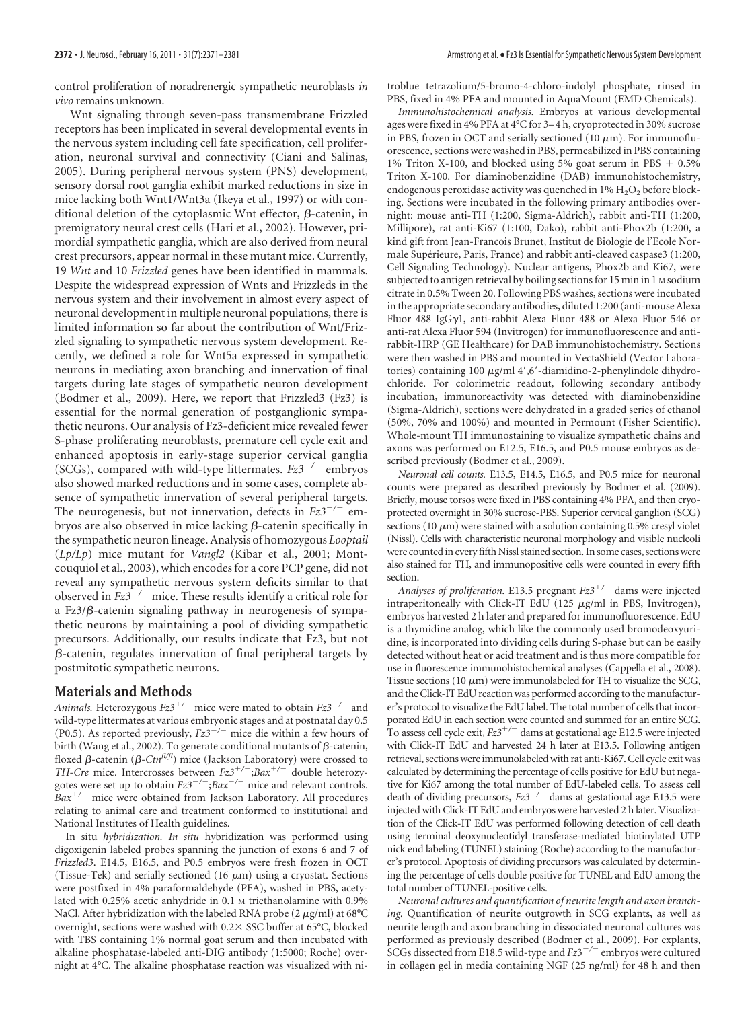control proliferation of noradrenergic sympathetic neuroblasts *in vivo* remains unknown.

Wnt signaling through seven-pass transmembrane Frizzled receptors has been implicated in several developmental events in the nervous system including cell fate specification, cell proliferation, neuronal survival and connectivity (Ciani and Salinas, 2005). During peripheral nervous system (PNS) development, sensory dorsal root ganglia exhibit marked reductions in size in mice lacking both Wnt1/Wnt3a (Ikeya et al., 1997) or with conditional deletion of the cytoplasmic Wnt effector,  $\beta$ -catenin, in premigratory neural crest cells (Hari et al., 2002). However, primordial sympathetic ganglia, which are also derived from neural crest precursors, appear normal in these mutant mice. Currently, 19 *Wnt* and 10 *Frizzled* genes have been identified in mammals. Despite the widespread expression of Wnts and Frizzleds in the nervous system and their involvement in almost every aspect of neuronal development in multiple neuronal populations, there is limited information so far about the contribution of Wnt/Frizzled signaling to sympathetic nervous system development. Recently, we defined a role for Wnt5a expressed in sympathetic neurons in mediating axon branching and innervation of final targets during late stages of sympathetic neuron development (Bodmer et al., 2009). Here, we report that Frizzled3 (Fz3) is essential for the normal generation of postganglionic sympathetic neurons. Our analysis of Fz3-deficient mice revealed fewer S-phase proliferating neuroblasts, premature cell cycle exit and enhanced apoptosis in early-stage superior cervical ganglia (SCGs), compared with wild-type littermates.  $Fz3^{-/-}$  embryos also showed marked reductions and in some cases, complete absence of sympathetic innervation of several peripheral targets. The neurogenesis, but not innervation, defects in  $Fz3^{-/-}$  embryos are also observed in mice lacking  $\beta$ -catenin specifically in the sympathetic neuron lineage. Analysis of homozygous *Looptail* (*Lp/Lp*) mice mutant for *Vangl2* (Kibar et al., 2001; Montcouquiol et al., 2003), which encodes for a core PCP gene, did not reveal any sympathetic nervous system deficits similar to that observed in  $Fz3^{-/-}$  mice. These results identify a critical role for a Fz $3/\beta$ -catenin signaling pathway in neurogenesis of sympathetic neurons by maintaining a pool of dividing sympathetic precursors. Additionally, our results indicate that Fz3, but not  $\beta$ -catenin, regulates innervation of final peripheral targets by postmitotic sympathetic neurons.

#### **Materials and Methods**

Animals. Heterozygous  $Fz3^{+/-}$  mice were mated to obtain  $Fz3^{-/-}$  and wild-type littermates at various embryonic stages and at postnatal day 0.5 (P0.5). As reported previously,  $Fz3^{-/-}$  mice die within a few hours of birth (Wang et al., 2002). To generate conditional mutants of  $\beta$ -catenin, floxed  $\beta$ -catenin ( $\beta$ -Ctn<sup>fl/fl</sup>) mice (Jackson Laboratory) were crossed to *TH-Cre* mice. Intercrosses between *Fz3*-*/*;*Bax*-*/* double heterozygotes were set up to obtain  $Fz3^{-/-}$ ;*Bax<sup>-/-</sup>* mice and relevant controls. *Bax*-*/* mice were obtained from Jackson Laboratory. All procedures relating to animal care and treatment conformed to institutional and National Institutes of Health guidelines.

In situ *hybridization. In situ* hybridization was performed using digoxigenin labeled probes spanning the junction of exons 6 and 7 of *Frizzled3*. E14.5, E16.5, and P0.5 embryos were fresh frozen in OCT (Tissue-Tek) and serially sectioned (16  $\mu$ m) using a cryostat. Sections were postfixed in 4% paraformaldehyde (PFA), washed in PBS, acetylated with 0.25% acetic anhydride in 0.1 M triethanolamine with 0.9% NaCl. After hybridization with the labeled RNA probe (2  $\mu$ g/ml) at 68°C overnight, sections were washed with  $0.2 \times$  SSC buffer at 65 $\degree$ C, blocked with TBS containing 1% normal goat serum and then incubated with alkaline phosphatase-labeled anti-DIG antibody (1:5000; Roche) overnight at 4°C. The alkaline phosphatase reaction was visualized with nitroblue tetrazolium/5-bromo-4-chloro-indolyl phosphate, rinsed in PBS, fixed in 4% PFA and mounted in AquaMount (EMD Chemicals).

*Immunohistochemical analysis.* Embryos at various developmental ages were fixed in 4% PFA at 4°C for 3– 4 h, cryoprotected in 30% sucrose in PBS, frozen in OCT and serially sectioned  $(10 \ \mu m)$ . For immunofluorescence, sections were washed in PBS, permeabilized in PBS containing 1% Triton X-100, and blocked using  $5\%$  goat serum in PBS + 0.5% Triton X-100. For diaminobenzidine (DAB) immunohistochemistry, endogenous peroxidase activity was quenched in  $1\%$   $H_2O_2$  before blocking. Sections were incubated in the following primary antibodies overnight: mouse anti-TH (1:200, Sigma-Aldrich), rabbit anti-TH (1:200, Millipore), rat anti-Ki67 (1:100, Dako), rabbit anti-Phox2b (1:200, a kind gift from Jean-Francois Brunet, Institut de Biologie de l'Ecole Normale Supérieure, Paris, France) and rabbit anti-cleaved caspase3 (1:200, Cell Signaling Technology). Nuclear antigens, Phox2b and Ki67, were subjected to antigen retrieval by boiling sections for 15 min in 1 M sodium citrate in 0.5% Tween 20. Following PBS washes, sections were incubated in the appropriate secondary antibodies, diluted 1:200 (anti-mouse Alexa Fluor 488 IgGy1, anti-rabbit Alexa Fluor 488 or Alexa Fluor 546 or anti-rat Alexa Fluor 594 (Invitrogen) for immunofluorescence and antirabbit-HRP (GE Healthcare) for DAB immunohistochemistry. Sections were then washed in PBS and mounted in VectaShield (Vector Laboratories) containing 100 µg/ml 4',6'-diamidino-2-phenylindole dihydrochloride. For colorimetric readout, following secondary antibody incubation, immunoreactivity was detected with diaminobenzidine (Sigma-Aldrich), sections were dehydrated in a graded series of ethanol (50%, 70% and 100%) and mounted in Permount (Fisher Scientific). Whole-mount TH immunostaining to visualize sympathetic chains and axons was performed on E12.5, E16.5, and P0.5 mouse embryos as described previously (Bodmer et al., 2009).

*Neuronal cell counts.* E13.5, E14.5, E16.5, and P0.5 mice for neuronal counts were prepared as described previously by Bodmer et al. (2009). Briefly, mouse torsos were fixed in PBS containing 4% PFA, and then cryoprotected overnight in 30% sucrose-PBS. Superior cervical ganglion (SCG) sections (10  $\mu$ m) were stained with a solution containing 0.5% cresyl violet (Nissl). Cells with characteristic neuronal morphology and visible nucleoli were counted in every fifth Nissl stained section. In some cases, sections were also stained for TH, and immunopositive cells were counted in every fifth section.

*Analyses of proliferation.* E13.5 pregnant *Fz3*-*/* dams were injected intraperitoneally with Click-IT EdU (125  $\mu$ g/ml in PBS, Invitrogen), embryos harvested 2 h later and prepared for immunofluorescence. EdU is a thymidine analog, which like the commonly used bromodeoxyuridine, is incorporated into dividing cells during S-phase but can be easily detected without heat or acid treatment and is thus more compatible for use in fluorescence immunohistochemical analyses (Cappella et al., 2008). Tissue sections  $(10 \ \mu m)$  were immunolabeled for TH to visualize the SCG, and the Click-IT EdU reaction was performed according to the manufacturer's protocol to visualize the EdU label. The total number of cells that incorporated EdU in each section were counted and summed for an entire SCG.  $\overline{\rm T}$ o assess cell cycle exit,  $Fz3^{+/-}$  dams at gestational age E12.5 were injected with Click-IT EdU and harvested 24 h later at E13.5. Following antigen retrieval, sections were immunolabeled with rat anti-Ki67. Cell cycle exit was calculated by determining the percentage of cells positive for EdU but negative for Ki67 among the total number of EdU-labeled cells. To assess cell death of dividing precursors,  $Fz3^{+/-}$  dams at gestational age E13.5 were injected with Click-IT EdU and embryos were harvested 2 h later. Visualization of the Click-IT EdU was performed following detection of cell death using terminal deoxynucleotidyl transferase-mediated biotinylated UTP nick end labeling (TUNEL) staining (Roche) according to the manufacturer's protocol. Apoptosis of dividing precursors was calculated by determining the percentage of cells double positive for TUNEL and EdU among the total number of TUNEL-positive cells.

*Neuronal cultures and quantification of neurite length and axon branching.* Quantification of neurite outgrowth in SCG explants, as well as neurite length and axon branching in dissociated neuronal cultures was performed as previously described (Bodmer et al., 2009). For explants, SCGs dissected from E18.5 wild-type and  $Fz3^{-/-}$  embryos were cultured in collagen gel in media containing NGF (25 ng/ml) for 48 h and then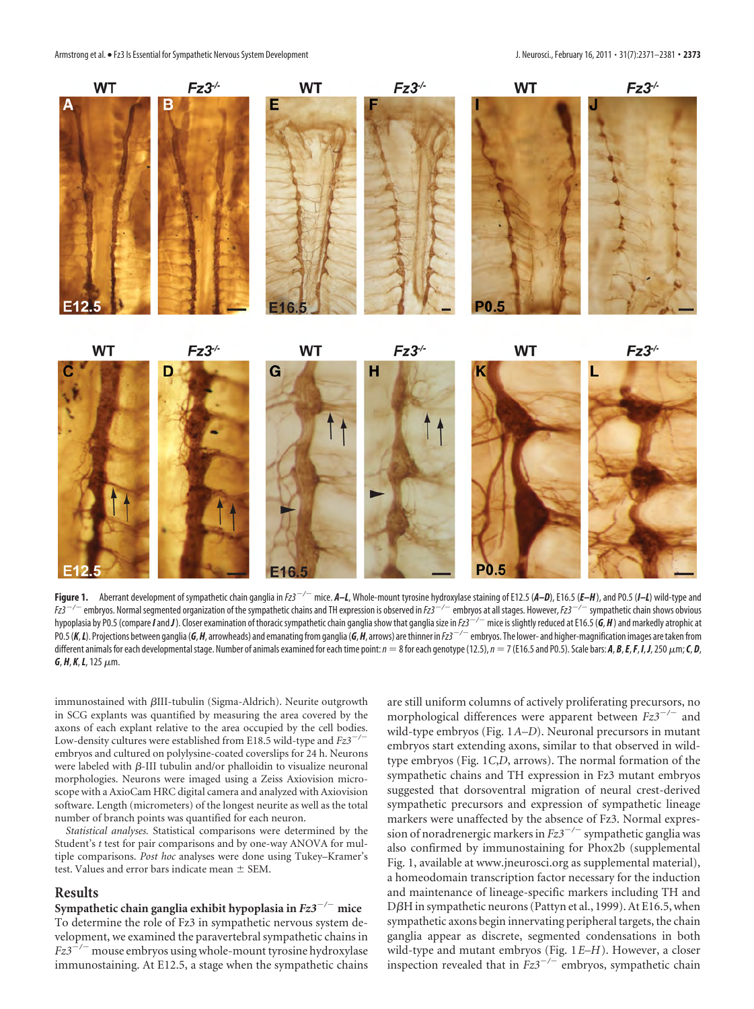

Figure 1. Aberrant development of sympathetic chain ganglia in  $Fz3^{-/-}$  mice. A–L, Whole-mount tyrosine hydroxylase staining of E12.5 (A–D), E16.5 (E–H), and P0.5 (I–L) wild-type and *Fz3/* embryos. Normal segmented organization of the sympathetic chains and TH expression is observed in *Fz3/* embryos at all stages. However,*Fz3/* sympathetic chain shows obvious hypoplasia by P0.5 (compare *I* and *J*). Closer examination of thoracic sympathetic chain ganglia show that ganglia size in  $Ez^{-/-}$  mice is slightly reduced at E16.5 (G, H) and markedly atrophic at PO.5 (K, L). Projections between ganglia (G, H, arrowheads) and emanating from ganglia (G, H, arrows) are thinner in  $Fz^{2--}$  embrvos. The lower- and higher-magnification images are taken from different animals for each developmental stage. Number of animals examined for each time point:  $n=8$  for each genotype (12.5),  $n=7$  (E16.5 and P0.5). Scale bars: **A, B, E, F, I, J,** 250  $\mu$ m; **C, D,** *G*, *H*, *K*,*L*, 125-m.

immunostained with  $\beta$ III-tubulin (Sigma-Aldrich). Neurite outgrowth in SCG explants was quantified by measuring the area covered by the axons of each explant relative to the area occupied by the cell bodies. Low-density cultures were established from E18.5 wild-type and  $Fz3^{-}$ embryos and cultured on polylysine-coated coverslips for 24 h. Neurons were labeled with  $\beta$ -III tubulin and/or phalloidin to visualize neuronal morphologies. Neurons were imaged using a Zeiss Axiovision microscope with a AxioCam HRC digital camera and analyzed with Axiovision software. Length (micrometers) of the longest neurite as well as the total number of branch points was quantified for each neuron.

*Statistical analyses.* Statistical comparisons were determined by the Student's *t* test for pair comparisons and by one-way ANOVA for multiple comparisons. *Post hoc* analyses were done using Tukey–Kramer's test. Values and error bars indicate mean  $\pm$  SEM.

## **Results**

**Sympathetic chain ganglia exhibit hypoplasia in** *Fz3/* **mice** To determine the role of Fz3 in sympathetic nervous system development, we examined the paravertebral sympathetic chains in *Fz3*<sup>-/-</sup> mouse embryos using whole-mount tyrosine hydroxylase immunostaining. At E12.5, a stage when the sympathetic chains are still uniform columns of actively proliferating precursors, no morphological differences were apparent between  $Fz3^{-/-}$  and wild-type embryos (Fig. 1*A–D*). Neuronal precursors in mutant embryos start extending axons, similar to that observed in wildtype embryos (Fig. 1*C*,*D*, arrows). The normal formation of the sympathetic chains and TH expression in Fz3 mutant embryos suggested that dorsoventral migration of neural crest-derived sympathetic precursors and expression of sympathetic lineage markers were unaffected by the absence of Fz3. Normal expression of noradrenergic markers in  $Fz3^{-/-}$  sympathetic ganglia was also confirmed by immunostaining for Phox2b (supplemental Fig. 1, available at www.jneurosci.org as supplemental material), a homeodomain transcription factor necessary for the induction and maintenance of lineage-specific markers including TH and D $\beta$ H in sympathetic neurons (Pattyn et al., 1999). At E16.5, when sympathetic axons begin innervating peripheral targets, the chain ganglia appear as discrete, segmented condensations in both wild-type and mutant embryos (Fig. 1*E–H*). However, a closer inspection revealed that in  $Fz3^{-/-}$  embryos, sympathetic chain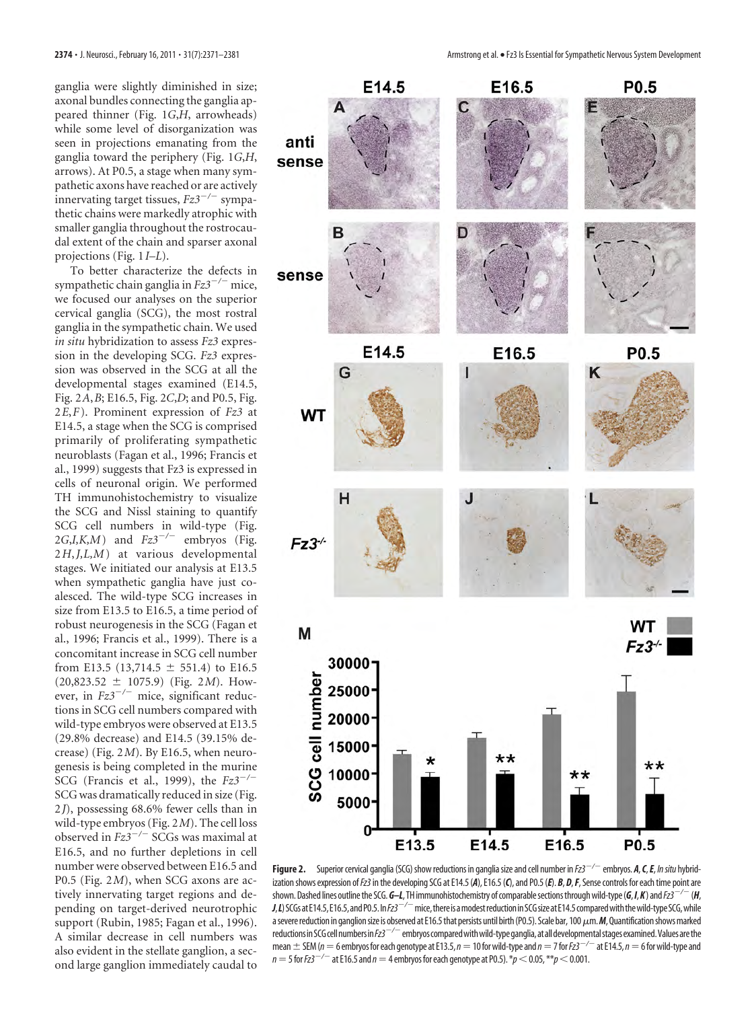ganglia were slightly diminished in size; axonal bundles connecting the ganglia appeared thinner (Fig. 1*G*,*H*, arrowheads) while some level of disorganization was seen in projections emanating from the ganglia toward the periphery (Fig. 1*G*,*H*, arrows). At P0.5, a stage when many sympathetic axons have reached or are actively innervating target tissues,  $Fz3^{-/-}$  sympathetic chains were markedly atrophic with smaller ganglia throughout the rostrocaudal extent of the chain and sparser axonal projections (Fig. 1*I–L*).

To better characterize the defects in sympathetic chain ganglia in  $Fz3^{-/-}$  mice, we focused our analyses on the superior cervical ganglia (SCG), the most rostral ganglia in the sympathetic chain. We used *in situ* hybridization to assess *Fz3* expression in the developing SCG. *Fz3* expression was observed in the SCG at all the developmental stages examined (E14.5, Fig. 2*A*,*B*; E16.5, Fig. 2*C*,*D*; and P0.5, Fig. 2*E*,*F*). Prominent expression of *Fz3* at E14.5, a stage when the SCG is comprised primarily of proliferating sympathetic neuroblasts (Fagan et al., 1996; Francis et al., 1999) suggests that Fz3 is expressed in cells of neuronal origin. We performed TH immunohistochemistry to visualize the SCG and Nissl staining to quantify SCG cell numbers in wild-type (Fig. 2*G*,*I*,*K*,*M*) and  $Fz3^{-/-}$  embryos (Fig. 2*H*,*J,L,M*) at various developmental stages. We initiated our analysis at E13.5 when sympathetic ganglia have just coalesced. The wild-type SCG increases in size from E13.5 to E16.5, a time period of robust neurogenesis in the SCG (Fagan et al., 1996; Francis et al., 1999). There is a concomitant increase in SCG cell number from E13.5 (13,714.5  $\pm$  551.4) to E16.5  $(20,823.52 \pm 1075.9)$  (Fig. 2*M*). However, in  $Fz3^{-/-}$  mice, significant reductions in SCG cell numbers compared with wild-type embryos were observed at E13.5 (29.8% decrease) and E14.5 (39.15% decrease) (Fig. 2*M*). By E16.5, when neurogenesis is being completed in the murine SCG (Francis et al., 1999), the *Fz3/* SCG was dramatically reduced in size (Fig. 2*J*), possessing 68.6% fewer cells than in wild-type embryos (Fig. 2*M*). The cell loss observed in  $Fz3^{-/-}$  SCGs was maximal at E16.5, and no further depletions in cell number were observed between E16.5 and P0.5 (Fig. 2*M*), when SCG axons are actively innervating target regions and depending on target-derived neurotrophic support (Rubin, 1985; Fagan et al., 1996). A similar decrease in cell numbers was also evident in the stellate ganglion, a second large ganglion immediately caudal to



**Figure 2.** Superior cervical ganglia (SCG) show reductions in ganglia size and cell number in *Fz3*<sup>-/-</sup> embryos. *A*, *C*, *E*, *In situ* hybridization shows expression of *Fz3* in the developing SCG at E14.5 (A), E16.5 (C), and P0.5 (*E*). *B*, *D*, *F*, Sense controls for each time point are shown.Dashed lines outlinethe SCG.*G–L*, TH immunohistochemistry of comparablesectionsthroughwild-type(*G*,*I*,*K*) and*Fz3/* (*H*, *J*,*L*) SCGs at E14.5, E16.5, and P0.5. In Fz3<sup>-/-</sup> mice, there is a modest reduction in SCG size at E14.5 compared with the wild-type SCG, while a severe reduction in ganglion size is observed at E16.5 that persists until birth (P0.5). Scale bar, 100  $\mu$ m. M, Quantification shows marked reductions in SCG cell numbers in Fz3<sup>-/-</sup> embryos compared with wild-type ganglia, at all developmental stages examined. Values are the mean  $\pm$  SEM ( $n=6$  embryos for each genotype at E13.5,  $n=10$  for wild-type and  $n=7$  for Fz3<sup>-/-</sup> at E14.5,  $n=6$  for wild-type and *n* = 5 for *Fz3*<sup> $-/-$ </sup> at E16.5 and *n* = 4 embryos for each genotype at P0.5).  $*$ *p* < 0.05,  $*$  $*$ *p* < 0.001.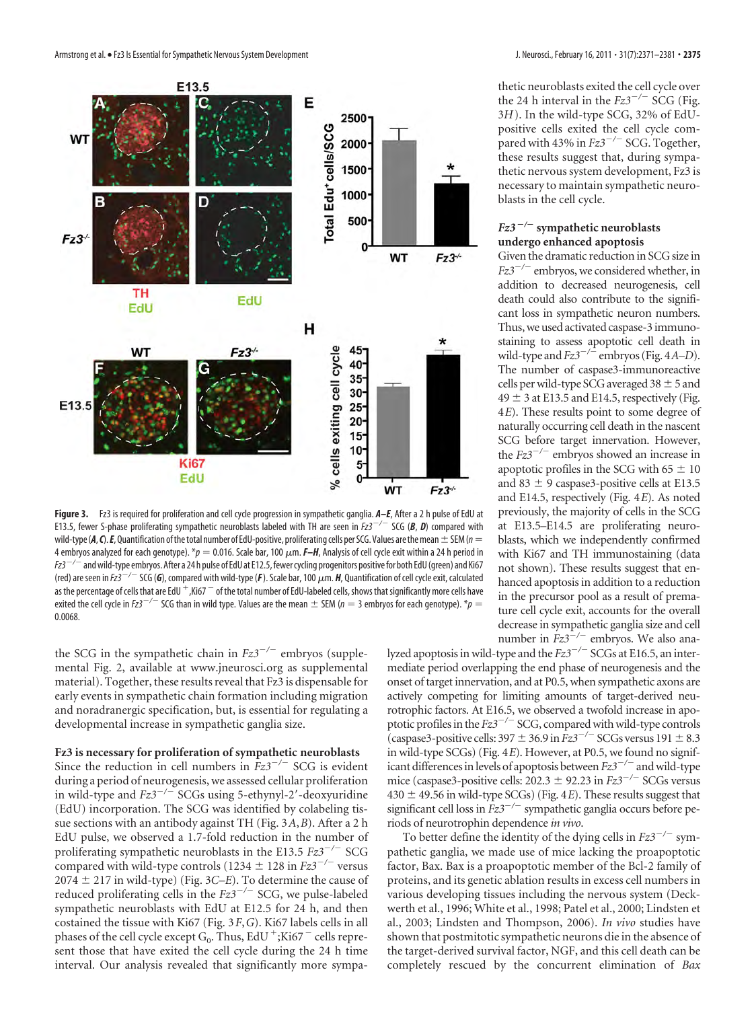

Figure 3. Fz3 is required for proliferation and cell cycle progression in sympathetic ganglia.  $A-F$ , After a 2 h pulse of EdU at E13.5, fewer S-phase proliferating sympathetic neuroblasts labeled with TH are seen in  $Fz3^{-/-}$  SCG (*B*, *D*) compared with wild-type ( $A$ ,  $C$ ).  $E$ , Quantification of the total number of EdU-positive, proliferating cells per SCG. Values are the mean  $\pm$  SEM ( $n=$ 4 embryos analyzed for each genotype). \* $p=$  0.016. Scale bar, 100 μm. **F–H**, Analysis of cell cycle exit within a 24 h period in *Fz3<sup>-/-</sup>* and wild-type embryos. After a 24 h pulse of EdU at E12.5, fewer cycling progenitors positive for both EdU (green) and Ki67 (red) are seen in Fz3<sup>—/—</sup> SCG (**G**), compared with wild-type (**F** ). Scale bar, 100  $\mu$ m. **H**, Quantification of cell cycle exit, calculated as the percentage of cells that are EdU  $^+$  ,Ki67  $^-$  of the total number of EdU-labeled cells, shows that significantly more cells have exited the cell cycle in  $Fz3^{-/-}$  SCG than in wild type. Values are the mean  $\pm$  SEM ( $n=3$  embryos for each genotype).  $* p =$ 0.0068.

the SCG in the sympathetic chain in  $Fz3^{-/-}$  embryos (supplemental Fig. 2, available at www.jneurosci.org as supplemental material). Together, these results reveal that Fz3 is dispensable for early events in sympathetic chain formation including migration and noradranergic specification, but, is essential for regulating a developmental increase in sympathetic ganglia size.

#### **Fz3 is necessary for proliferation of sympathetic neuroblasts**

Since the reduction in cell numbers in  $Fz3^{-/-}$  SCG is evident during a period of neurogenesis, we assessed cellular proliferation in wild-type and  $Fz3^{-/-}$  SCGs using 5-ethynyl-2'-deoxyuridine (EdU) incorporation. The SCG was identified by colabeling tissue sections with an antibody against TH (Fig. 3*A*,*B*). Aftera2h EdU pulse, we observed a 1.7-fold reduction in the number of proliferating sympathetic neuroblasts in the E13.5 *Fz*3<sup>-/-</sup> SCG compared with wild-type controls (1234  $\pm$  128 in *Fz3<sup>-/-</sup>* versus  $2074 \pm 217$  in wild-type) (Fig. 3C–E). To determine the cause of reduced proliferating cells in the  $Fz3^{-/-}$  SCG, we pulse-labeled sympathetic neuroblasts with EdU at E12.5 for 24 h, and then costained the tissue with Ki67 (Fig. 3*F*,*G*). Ki67 labels cells in all phases of the cell cycle except G<sub>0</sub>. Thus, EdU  $^+$ ;Ki67  $^-$  cells represent those that have exited the cell cycle during the 24 h time interval. Our analysis revealed that significantly more sympathetic neuroblasts exited the cell cycle over the 24 h interval in the  $Fz3^{-/-}$  SCG (Fig. 3*H*). In the wild-type SCG, 32% of EdUpositive cells exited the cell cycle compared with 43% in  $Fz3^{-/-}$  SCG. Together, these results suggest that, during sympathetic nervous system development, Fz3 is necessary to maintain sympathetic neuroblasts in the cell cycle.

#### *Fz3 /* **sympathetic neuroblasts undergo enhanced apoptosis**

Given the dramatic reduction in SCG size in *Fz3<sup>-/-</sup>* embryos, we considered whether, in addition to decreased neurogenesis, cell death could also contribute to the significant loss in sympathetic neuron numbers. Thus, we used activated caspase-3 immunostaining to assess apoptotic cell death in wild-type and  $Fz3^{-/-}$  embryos (Fig. 4*A–D*). The number of caspase3-immunoreactive cells per wild-type SCG averaged  $38 \pm 5$  and  $49 \pm 3$  at E13.5 and E14.5, respectively (Fig. 4*E*). These results point to some degree of naturally occurring cell death in the nascent SCG before target innervation. However, the  $Fz3^{-/-}$  embryos showed an increase in apoptotic profiles in the SCG with  $65 \pm 10$ and 83  $\pm$  9 caspase3-positive cells at E13.5 and E14.5, respectively (Fig. 4*E*). As noted previously, the majority of cells in the SCG at E13.5–E14.5 are proliferating neuroblasts, which we independently confirmed with Ki67 and TH immunostaining (data not shown). These results suggest that enhanced apoptosis in addition to a reduction in the precursor pool as a result of premature cell cycle exit, accounts for the overall decrease in sympathetic ganglia size and cell number in  $Fz3^{-/-}$  embryos. We also ana-

lyzed apoptosis in wild-type and the  $Fz3^{-/-}$  SCGs at E16.5, an intermediate period overlapping the end phase of neurogenesis and the onset of target innervation, and at P0.5, when sympathetic axons are actively competing for limiting amounts of target-derived neurotrophic factors. At E16.5, we observed a twofold increase in apoptotic profiles in the  $Fz3^{-/-}$  SCG, compared with wild-type controls (caspase3-positive cells:  $397 \pm 36.9$  in  $Fz3^{-/-}$  SCGs versus  $191 \pm 8.3$ in wild-type SCGs) (Fig. 4*E*). However, at P0.5, we found no significant differences in levels of apoptosis between  $Fz3^{-/-}$  and wild-type mice (caspase3-positive cells:  $202.3 \pm 92.23$  in  $Fz3^{-/-}$  SCGs versus  $430 \pm 49.56$  in wild-type SCGs) (Fig. 4*E*). These results suggest that significant cell loss in  $Fz3^{-/-}$  sympathetic ganglia occurs before periods of neurotrophin dependence *in vivo*.

To better define the identity of the dying cells in  $Fz3^{-/-}$  sympathetic ganglia, we made use of mice lacking the proapoptotic factor, Bax. Bax is a proapoptotic member of the Bcl-2 family of proteins, and its genetic ablation results in excess cell numbers in various developing tissues including the nervous system (Deckwerth et al., 1996; White et al., 1998; Patel et al., 2000; Lindsten et al., 2003; Lindsten and Thompson, 2006). *In vivo* studies have shown that postmitotic sympathetic neurons die in the absence of the target-derived survival factor, NGF, and this cell death can be completely rescued by the concurrent elimination of *Bax*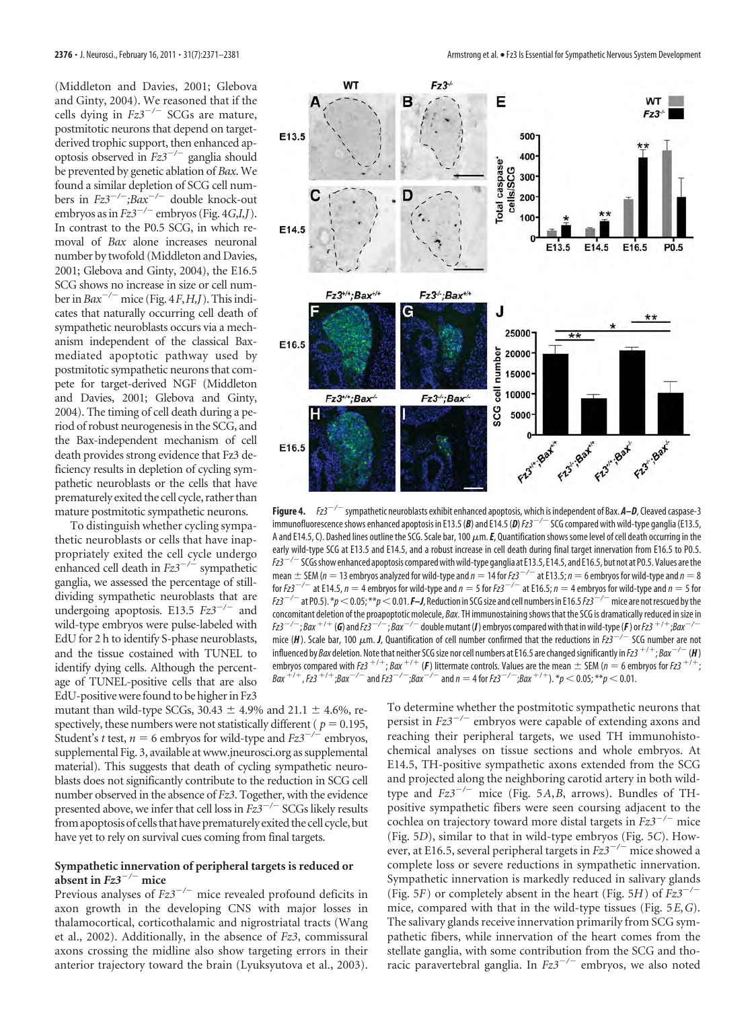(Middleton and Davies, 2001; Glebova and Ginty, 2004). We reasoned that if the cells dying in  $Fz3^{-/-}$  SCGs are mature, postmitotic neurons that depend on targetderived trophic support, then enhanced apoptosis observed in *Fz3/* ganglia should be prevented by genetic ablation of *Bax*. We found a similar depletion of SCG cell numbers in *Fz3/;Bax/* double knock-out embryos as in *Fz3/* embryos (Fig. 4*G*,*I,J*). In contrast to the P0.5 SCG, in which removal of *Bax* alone increases neuronal number by twofold (Middleton and Davies, 2001; Glebova and Ginty, 2004), the E16.5 SCG shows no increase in size or cell number in  $Bax^{-/-}$  mice (Fig. 4*F*, *H*,*J*). This indicates that naturally occurring cell death of sympathetic neuroblasts occurs via a mechanism independent of the classical Baxmediated apoptotic pathway used by postmitotic sympathetic neurons that compete for target-derived NGF (Middleton and Davies, 2001; Glebova and Ginty, 2004). The timing of cell death during a period of robust neurogenesis in the SCG, and the Bax-independent mechanism of cell death provides strong evidence that Fz3 deficiency results in depletion of cycling sympathetic neuroblasts or the cells that have prematurely exited the cell cycle, rather than mature postmitotic sympathetic neurons.

To distinguish whether cycling sympathetic neuroblasts or cells that have inappropriately exited the cell cycle undergo enhanced cell death in  $Fz3^{-/-}$  sympathetic ganglia, we assessed the percentage of stilldividing sympathetic neuroblasts that are undergoing apoptosis. E13.5  $Fz3^{-/-}$  and wild-type embryos were pulse-labeled with EdU for 2 h to identify S-phase neuroblasts, and the tissue costained with TUNEL to identify dying cells. Although the percentage of TUNEL-positive cells that are also EdU-positive were found to be higher in Fz3



**Figure 4.** *Fz3<sup>-/-</sup>* sympathetic neuroblasts exhibit enhanced apoptosis, which is independent of Bax. **A–D**, Cleaved caspase-3 immunofluorescence shows enhanced apoptosis in E13.5 (*B*) and E14.5 (*D*)  $Fz3^{-/-}$  SCG compared with wild-type ganglia (E13.5, A and E14.5, C). Dashed lines outline the SCG. Scale bar, 100  $\mu$ m. *E*, Quantification shows some level of cell death occurring in the early wild-type SCG at E13.5 and E14.5, and a robust increase in cell death during final target innervation from E16.5 to P0.5. *Fz3/*SCGsshow enhanced apoptosis comparedwithwild-type ganglia at E13.5, E14.5, and E16.5, but not at P0.5.Values arethe mean  $\pm$  SEM ( $n = 13$  embryos analyzed for wild-type and  $n = 14$  for  $Fz3^{-/-}$  at E13.5;  $n = 6$  embryos for wild-type and  $n = 8$ for  $Fz3^{-/-}$  at E14.5,  $n = 4$  embryos for wild-type and  $n = 5$  for  $Fz3^{-/-}$  at E16.5;  $n = 4$  embryos for wild-type and  $n = 5$  for *Fz3*<sup> $-/-$ </sup> at P0.5). \* $p < 0.05$ ; \*\* $p < 0.01$ . **F–J**, Reduction in SCG size and cell numbers in E16.5 Fz3<sup>-/-</sup> mice are not rescued by the concomitant deletion of the proapoptotic molecule, *Bax*. TH immunostainingshows that the SCG is dramatically reduced insize in  $Fz$ 3<sup>-/-</sup>; *Bax*  $^{+/-}$  (**G**) and  $Fz$ 3<sup>-/-</sup>; *Bax*<sup>-/-</sup> double mutant (**I**) embryos compared with that in wild-type (**F**) or Fz3  $^{++}$  ; *Bax*  $^{-/-}$ mice (**H**). Scale bar, 100  $\mu$ m. **J**, Quantification of cell number confirmed that the reductions in Fz3 $^{-/-}$  SCG number are not influenced by *Bax* deletion. Note that neither SCG size nor cell numbers at E16.5 are changed significantly in *Fz3 +/+; Bax<sup>-/-</sup> (H* ) embryos compared with Fz3<sup>+/+</sup>; Bax<sup>+/+</sup> (F) littermate controls. Values are the mean  $\pm$  SEM ( $n=6$  embryos for Fz3<sup>+/+</sup> ;  $Bax^{+/-}$ ,  $Fz3^{+/-}$ ; $Bax^{-/-}$  and  $Fz3^{-/-}$ ; $Bax^{-/-}$  and  $n = 4$  for  $Fz3^{-/-}$ ; $Bax^{+/-}$ ).  $* p < 0.05$ ;  $* * p < 0.01$ .

mutant than wild-type SCGs, 30.43  $\pm$  4.9% and 21.1  $\pm$  4.6%, respectively, these numbers were not statistically different ( $p = 0.195$ , Student's *t* test,  $n = 6$  embryos for wild-type and  $Fz3^{-/-}$  embryos, supplemental Fig. 3, available at www.jneurosci.org as supplemental material). This suggests that death of cycling sympathetic neuroblasts does not significantly contribute to the reduction in SCG cell number observed in the absence of *Fz3*. Together, with the evidence presented above, we infer that cell loss in  $Fz3^{-/-}$  SCGs likely results from apoptosis of cells that have prematurely exited the cell cycle, but have yet to rely on survival cues coming from final targets.

## **Sympathetic innervation of peripheral targets is reduced or absent in** *Fz3/* **mice**

Previous analyses of  $Fz3^{-/-}$  mice revealed profound deficits in axon growth in the developing CNS with major losses in thalamocortical, corticothalamic and nigrostriatal tracts (Wang et al., 2002). Additionally, in the absence of *Fz3*, commissural axons crossing the midline also show targeting errors in their anterior trajectory toward the brain (Lyuksyutova et al., 2003). To determine whether the postmitotic sympathetic neurons that persist in  $Fz3^{-/-}$  embryos were capable of extending axons and reaching their peripheral targets, we used TH immunohistochemical analyses on tissue sections and whole embryos. At E14.5, TH-positive sympathetic axons extended from the SCG and projected along the neighboring carotid artery in both wildtype and *Fz3<sup>-/-</sup>* mice (Fig. 5A, *B*, arrows). Bundles of THpositive sympathetic fibers were seen coursing adjacent to the cochlea on trajectory toward more distal targets in  $Fz3^{-/-}$  mice (Fig. 5*D*), similar to that in wild-type embryos (Fig. 5*C*). However, at E16.5, several peripheral targets in  $Fz3^{-/-}$  mice showed a complete loss or severe reductions in sympathetic innervation. Sympathetic innervation is markedly reduced in salivary glands (Fig. 5*F*) or completely absent in the heart (Fig. 5*H*) of *Fz3/* mice, compared with that in the wild-type tissues (Fig. 5*E*,*G*). The salivary glands receive innervation primarily from SCG sympathetic fibers, while innervation of the heart comes from the stellate ganglia, with some contribution from the SCG and thoracic paravertebral ganglia. In  $Fz3^{-/-}$  embryos, we also noted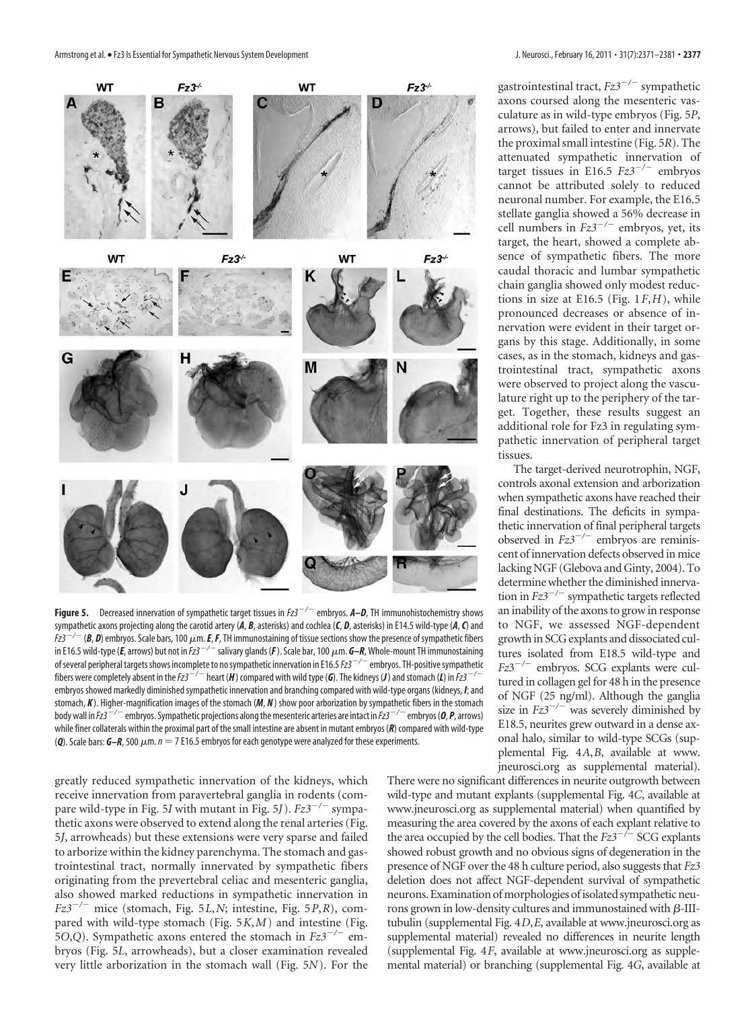

**Figure 5.** Decreased innervation of sympathetic target tissues in  $Fz3^{-/-}$  embryos.  $A-D$ , TH immunohistochemistry shows sympathetic axons projecting along the carotid artery (*A*, *B*, asterisks) and cochlea (*C*, *D*, asterisks) in E14.5 wild-type (*A*,*C*) and  $Fz$ 3<sup>-/-</sup> (**B, D**) embryos. Scale bars, 100  $\mu$ m. **E, F**, TH immunostaining of tissue sections show the presence of sympathetic fibers in E16.5 wild-type (*E, arrows) but not in Fz3* $^{-/-}$  *salivary glands (<code>F</code> ). Scale bar, 100*  $\mu$ *m. G–R, Whole-mount TH immunostaining* of several peripheral targets shows incomplete to no sympathetic innervation in E16.5 Fz3<sup>-/-</sup> embryos. TH-positive sympathetic fibers were completely absent in the *Fz3<sup>-/-</sup>* heart (*H*) compared with wild type (*G*). The kidneys (*J*) and stomach (*L*) in *Fz3*<sup>-/-</sup> embryos showed markedly diminished sympathetic innervation and branching compared with wild-type organs (kidneys, *I*; and stomach, *K* ). Higher-magnification images of the stomach (*M*, *N*) show poor arborization by sympathetic fibers in the stomach body wall in *Fz3<sup>-/-</sup>* embryos. Sympathetic projections along the mesenteric arteries are intact in *Fz3*<sup>-/-</sup> embryos (0, *P*, arrows) while finer collaterals within the proximal part of the small intestine are absent in mutant embryos (*R*) compared with wild-type (Q). Scale bars: G–R, 500 μm. *n* = 7 E16.5 embryos for each genotype were analyzed for these experiments.

greatly reduced sympathetic innervation of the kidneys, which receive innervation from paravertebral ganglia in rodents (compare wild-type in Fig. 5*I* with mutant in Fig. 5*J*). *Fz3/* sympathetic axons were observed to extend along the renal arteries (Fig. 5*J*, arrowheads) but these extensions were very sparse and failed to arborize within the kidney parenchyma. The stomach and gastrointestinal tract, normally innervated by sympathetic fibers originating from the prevertebral celiac and mesenteric ganglia, also showed marked reductions in sympathetic innervation in  $Fz3^{-/-}$  mice (stomach, Fig. 5*L*,*N*; intestine, Fig. 5*P*,*R*), compared with wild-type stomach (Fig. 5*K*,*M*) and intestine (Fig. 5*O*,*Q*). Sympathetic axons entered the stomach in  $Fz3^{-/-}$  embryos (Fig. 5*L*, arrowheads), but a closer examination revealed very little arborization in the stomach wall (Fig. 5*N*). For the

gastrointestinal tract,  $Fz3^{-/-}$  sympathetic axons coursed along the mesenteric vasculature as in wild-type embryos (Fig. 5*P*, arrows), but failed to enter and innervate the proximal small intestine (Fig. 5*R*). The attenuated sympathetic innervation of target tissues in E16.5  $Fz3^{-/-}$  embryos cannot be attributed solely to reduced neuronal number. For example, the E16.5 stellate ganglia showed a 56% decrease in cell numbers in  $Fz3^{-/-}$  embryos, yet, its target, the heart, showed a complete absence of sympathetic fibers. The more caudal thoracic and lumbar sympathetic chain ganglia showed only modest reductions in size at E16.5 (Fig. 1*F*,*H*), while pronounced decreases or absence of innervation were evident in their target organs by this stage. Additionally, in some cases, as in the stomach, kidneys and gastrointestinal tract, sympathetic axons were observed to project along the vasculature right up to the periphery of the target. Together, these results suggest an additional role for Fz3 in regulating sympathetic innervation of peripheral target tissues.

The target-derived neurotrophin, NGF, controls axonal extension and arborization when sympathetic axons have reached their final destinations. The deficits in sympathetic innervation of final peripheral targets observed in  $Fz3^{-/-}$  embryos are reminiscent of innervation defects observed in mice lacking NGF (Glebova and Ginty, 2004). To determine whether the diminished innervation in *Fz3<sup>-/-</sup>* sympathetic targets reflected an inability of the axons to grow in response to NGF, we assessed NGF-dependent growth in SCG explants and dissociated cultures isolated from E18.5 wild-type and *Fz*3<sup>-/-</sup> embryos. SCG explants were cultured in collagen gel for 48 h in the presence of NGF (25 ng/ml). Although the ganglia size in  $Fz3^{-/-}$  was severely diminished by E18.5, neurites grew outward in a dense axonal halo, similar to wild-type SCGs (supplemental Fig. 4*A*,*B*, available at www. jneurosci.org as supplemental material).

There were no significant differences in neurite outgrowth between wild-type and mutant explants (supplemental Fig. 4*C*, available at www.jneurosci.org as supplemental material) when quantified by measuring the area covered by the axons of each explant relative to the area occupied by the cell bodies. That the  $Fz3^{-/-}$  SCG explants showed robust growth and no obvious signs of degeneration in the presence of NGF over the 48 h culture period, also suggests that *Fz3* deletion does not affect NGF-dependent survival of sympathetic neurons. Examination of morphologies of isolated sympathetic neurons grown in low-density cultures and immunostained with  $\beta$ -IIItubulin (supplemental Fig. 4*D*,*E*, available at www.jneurosci.org as supplemental material) revealed no differences in neurite length (supplemental Fig. 4*F*, available at www.jneurosci.org as supplemental material) or branching (supplemental Fig. 4*G*, available at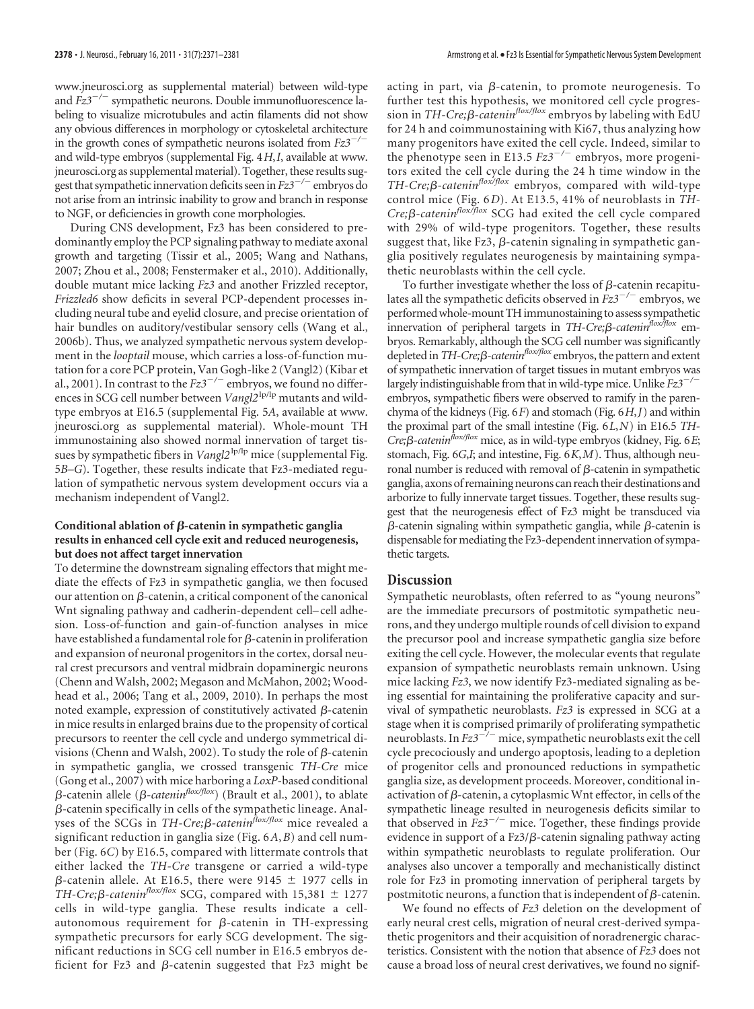www.jneurosci.org as supplemental material) between wild-type and *Fz3<sup>-/-</sup>* sympathetic neurons. Double immunofluorescence labeling to visualize microtubules and actin filaments did not show any obvious differences in morphology or cytoskeletal architecture in the growth cones of sympathetic neurons isolated from  $Fz3^{-/-}$ and wild-type embryos (supplemental Fig. 4*H*,*I*, available at www. jneurosci.org as supplemental material). Together, these results suggest that sympathetic innervation deficits seen in  $Fz3^{-/-}$  embryos do not arise from an intrinsic inability to grow and branch in response to NGF, or deficiencies in growth cone morphologies.

During CNS development, Fz3 has been considered to predominantly employ the PCP signaling pathway to mediate axonal growth and targeting (Tissir et al., 2005; Wang and Nathans, 2007; Zhou et al., 2008; Fenstermaker et al., 2010). Additionally, double mutant mice lacking *Fz3* and another Frizzled receptor, *Frizzled6* show deficits in several PCP-dependent processes including neural tube and eyelid closure, and precise orientation of hair bundles on auditory/vestibular sensory cells (Wang et al., 2006b). Thus, we analyzed sympathetic nervous system development in the *looptail* mouse, which carries a loss-of-function mutation for a core PCP protein, Van Gogh-like 2 (Vangl2) (Kibar et al., 2001). In contrast to the  $Fz3^{-/-}$  embryos, we found no differences in SCG cell number between *Vangl2*<sup>lp/lp</sup> mutants and wildtype embryos at E16.5 (supplemental Fig. 5*A*, available at www. jneurosci.org as supplemental material). Whole-mount TH immunostaining also showed normal innervation of target tissues by sympathetic fibers in *Vangl2*<sup>1p/1p</sup> mice (supplemental Fig. 5*B–G*). Together, these results indicate that Fz3-mediated regulation of sympathetic nervous system development occurs via a mechanism independent of Vangl2.

## **Conditional ablation of β-catenin in sympathetic ganglia results in enhanced cell cycle exit and reduced neurogenesis, but does not affect target innervation**

To determine the downstream signaling effectors that might mediate the effects of Fz3 in sympathetic ganglia, we then focused our attention on  $\beta$ -catenin, a critical component of the canonical Wnt signaling pathway and cadherin-dependent cell– cell adhesion. Loss-of-function and gain-of-function analyses in mice have established a fundamental role for  $\beta$ -catenin in proliferation and expansion of neuronal progenitors in the cortex, dorsal neural crest precursors and ventral midbrain dopaminergic neurons (Chenn and Walsh, 2002; Megason and McMahon, 2002; Woodhead et al., 2006; Tang et al., 2009, 2010). In perhaps the most noted example, expression of constitutively activated  $\beta$ -catenin in mice results in enlarged brains due to the propensity of cortical precursors to reenter the cell cycle and undergo symmetrical divisions (Chenn and Walsh, 2002). To study the role of  $\beta$ -catenin in sympathetic ganglia, we crossed transgenic *TH-Cre* mice (Gong et al., 2007) with mice harboring a *LoxP*-based conditional  $\beta$ -catenin allele ( $\beta$ -catenin<sup>flox/flox</sup>) (Brault et al., 2001), to ablate  $\beta$ -catenin specifically in cells of the sympathetic lineage. Analyses of the SCGs in  $TH-Cre; \beta\text{-}catenin$ <sup>*flox/flox* mice revealed a</sup> significant reduction in ganglia size (Fig. 6*A*,*B*) and cell number (Fig. 6*C*) by E16.5, compared with littermate controls that either lacked the *TH-Cre* transgene or carried a wild-type  $\beta$ -catenin allele. At E16.5, there were 9145  $\pm$  1977 cells in *TH-Cre;β-catenin<sup>flox/flox</sup>* SCG, compared with 15,381 ± 1277 cells in wild-type ganglia. These results indicate a cellautonomous requirement for  $\beta$ -catenin in TH-expressing sympathetic precursors for early SCG development. The significant reductions in SCG cell number in E16.5 embryos deficient for Fz3 and  $\beta$ -catenin suggested that Fz3 might be

acting in part, via  $\beta$ -catenin, to promote neurogenesis. To further test this hypothesis, we monitored cell cycle progression in *TH-Cre;<sup>* $\beta$ *-catenin<sup>flox/flox</sup>* embryos by labeling with EdU</sup> for 24 h and coimmunostaining with Ki67, thus analyzing how many progenitors have exited the cell cycle. Indeed, similar to the phenotype seen in E13.5  $Fz3^{-/-}$  embryos, more progenitors exited the cell cycle during the 24 h time window in the *TH-Cre;β-catenin<sup>flox/flox*</sup> embryos, compared with wild-type control mice (Fig. 6*D*). At E13.5, 41% of neuroblasts in *TH-*Cre;<sup>*B*-catenin<sup>flox/flox</sup> SCG had exited the cell cycle compared</sup> with 29% of wild-type progenitors. Together, these results suggest that, like Fz3,  $\beta$ -catenin signaling in sympathetic ganglia positively regulates neurogenesis by maintaining sympathetic neuroblasts within the cell cycle.

To further investigate whether the loss of  $\beta$ -catenin recapitulates all the sympathetic deficits observed in  $Fz3^{-/-}$  embryos, we performedwhole-mount THimmunostaining to assess sympathetic innervation of peripheral targets in *TH-Cre*;*ß-catenin<sup>flox/flox* em-</sup> bryos. Remarkably, although the SCG cell number was significantly depleted in *TH-Cre*;*β-catenin<sup>flox/flox</sup>* embryos, the pattern and extent of sympathetic innervation of target tissues in mutant embryos was largely indistinguishable from that in wild-type mice. Unlike *Fz3<sup>-/-</sup>* embryos, sympathetic fibers were observed to ramify in the parenchyma of the kidneys (Fig. 6*F*) and stomach (Fig. 6*H*,*J*) and within the proximal part of the small intestine (Fig. 6*L*,*N*) in E16.5 *TH-Cre;-cateninflox/flox* mice, as in wild-type embryos (kidney, Fig. 6*E*; stomach, Fig. 6*G*,*I*; and intestine, Fig. 6*K*,*M*). Thus, although neuronal number is reduced with removal of  $\beta$ -catenin in sympathetic ganglia, axons of remaining neurons can reach their destinations and arborize to fully innervate target tissues. Together, these results suggest that the neurogenesis effect of Fz3 might be transduced via  $\beta$ -catenin signaling within sympathetic ganglia, while  $\beta$ -catenin is dispensable for mediating the Fz3-dependent innervation of sympathetic targets.

## **Discussion**

Sympathetic neuroblasts, often referred to as "young neurons" are the immediate precursors of postmitotic sympathetic neurons, and they undergo multiple rounds of cell division to expand the precursor pool and increase sympathetic ganglia size before exiting the cell cycle. However, the molecular events that regulate expansion of sympathetic neuroblasts remain unknown. Using mice lacking *Fz3*, we now identify Fz3-mediated signaling as being essential for maintaining the proliferative capacity and survival of sympathetic neuroblasts. *Fz3* is expressed in SCG at a stage when it is comprised primarily of proliferating sympathetic neuroblasts. In *Fz3<sup>-/-</sup>* mice, sympathetic neuroblasts exit the cell cycle precociously and undergo apoptosis, leading to a depletion of progenitor cells and pronounced reductions in sympathetic ganglia size, as development proceeds. Moreover, conditional inactivation of  $\beta$ -catenin, a cytoplasmic Wnt effector, in cells of the sympathetic lineage resulted in neurogenesis deficits similar to that observed in  $Fz3^{-/-}$  mice. Together, these findings provide evidence in support of a  $Fz3/\beta$ -catenin signaling pathway acting within sympathetic neuroblasts to regulate proliferation. Our analyses also uncover a temporally and mechanistically distinct role for Fz3 in promoting innervation of peripheral targets by postmitotic neurons, a function that is independent of  $\beta$ -catenin.

We found no effects of *Fz3* deletion on the development of early neural crest cells, migration of neural crest-derived sympathetic progenitors and their acquisition of noradrenergic characteristics. Consistent with the notion that absence of *Fz3* does not cause a broad loss of neural crest derivatives, we found no signif-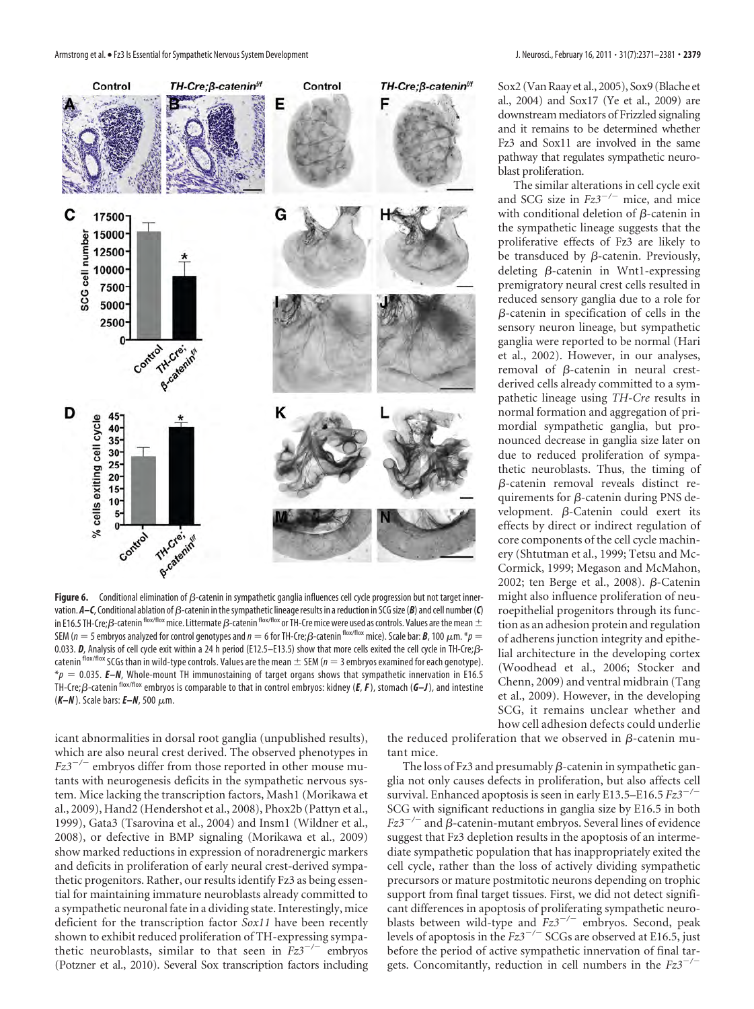

Figure 6. Conditional elimination of  $\beta$ -catenin in sympathetic ganglia influences cell cycle progression but not target innervation. **A–C**, Conditional ablation of  $\beta$ -catenin in the sympathetic lineage results in a reduction in SCG size (**B**) and cell number (**C**) in E16.5 TH-Cre; $\beta$ -catenin flox/flox mice. Littermate  $\beta$ -catenin flox/flox or TH-Cre mice were used as controls. Values are the mean  $\pm$ SEM ( $n=5$  embryos analyzed for control genotypes and  $n=6$  for TH-Cre; $\beta$ -catenin <sup>flox/flox</sup> mice). Scale bar: *B*, 100  $\mu$ m.  $^*p=0$ 0.033. *D*, Analysis of cell cycle exit within a 24 h period (E12.5–E13.5) show that more cells exited the cell cycle in TH-Cre; $\beta$ catenin flox/flox SCGs than in wild-type controls. Values are the mean  $\pm$  SEM ( $n = 3$  embryos examined for each genotype). \**p* 0.035. *E–N*, Whole-mount TH immunostaining of target organs shows that sympathetic innervation in E16.5 TH-Cre; $\beta$ -catenin flox/flox embryos is comparable to that in control embryos: kidney (*E*, *F*), stomach (*G–J*), and intestine (K-N). Scale bars: **E-N**, 500 μm.

icant abnormalities in dorsal root ganglia (unpublished results), which are also neural crest derived. The observed phenotypes in  $Fz3^{-/-}$  embryos differ from those reported in other mouse mutants with neurogenesis deficits in the sympathetic nervous system. Mice lacking the transcription factors, Mash1 (Morikawa et al., 2009), Hand2 (Hendershot et al., 2008), Phox2b (Pattyn et al., 1999), Gata3 (Tsarovina et al., 2004) and Insm1 (Wildner et al., 2008), or defective in BMP signaling (Morikawa et al., 2009) show marked reductions in expression of noradrenergic markers and deficits in proliferation of early neural crest-derived sympathetic progenitors. Rather, our results identify Fz3 as being essential for maintaining immature neuroblasts already committed to a sympathetic neuronal fate in a dividing state. Interestingly, mice deficient for the transcription factor *Sox11* have been recently shown to exhibit reduced proliferation of TH-expressing sympathetic neuroblasts, similar to that seen in  $Fz3^{-/-}$  embryos (Potzner et al., 2010). Several Sox transcription factors including

Sox2 (Van Raay et al., 2005), Sox9 (Blache et al., 2004) and Sox17 (Ye et al., 2009) are downstream mediators of Frizzled signaling and it remains to be determined whether Fz3 and Sox11 are involved in the same pathway that regulates sympathetic neuroblast proliferation.

The similar alterations in cell cycle exit and SCG size in  $Fz3^{-/-}$  mice, and mice with conditional deletion of  $\beta$ -catenin in the sympathetic lineage suggests that the proliferative effects of Fz3 are likely to be transduced by  $\beta$ -catenin. Previously, deleting  $\beta$ -catenin in Wnt1-expressing premigratory neural crest cells resulted in reduced sensory ganglia due to a role for  $\beta$ -catenin in specification of cells in the sensory neuron lineage, but sympathetic ganglia were reported to be normal (Hari et al., 2002). However, in our analyses, removal of  $\beta$ -catenin in neural crestderived cells already committed to a sympathetic lineage using *TH-Cre* results in normal formation and aggregation of primordial sympathetic ganglia, but pronounced decrease in ganglia size later on due to reduced proliferation of sympathetic neuroblasts. Thus, the timing of  $\beta$ -catenin removal reveals distinct requirements for  $\beta$ -catenin during PNS development.  $\beta$ -Catenin could exert its effects by direct or indirect regulation of core components of the cell cycle machinery (Shtutman et al., 1999; Tetsu and Mc-Cormick, 1999; Megason and McMahon, 2002; ten Berge et al., 2008).  $\beta$ -Catenin might also influence proliferation of neuroepithelial progenitors through its function as an adhesion protein and regulation of adherens junction integrity and epithelial architecture in the developing cortex (Woodhead et al., 2006; Stocker and Chenn, 2009) and ventral midbrain (Tang et al., 2009). However, in the developing SCG, it remains unclear whether and how cell adhesion defects could underlie

the reduced proliferation that we observed in  $\beta$ -catenin mutant mice.

The loss of Fz3 and presumably  $\beta$ -catenin in sympathetic ganglia not only causes defects in proliferation, but also affects cell survival. Enhanced apoptosis is seen in early E13.5–E16.5 *Fz3/* SCG with significant reductions in ganglia size by E16.5 in both  $Fz3^{-/-}$  and  $\beta$ -catenin-mutant embryos. Several lines of evidence suggest that Fz3 depletion results in the apoptosis of an intermediate sympathetic population that has inappropriately exited the cell cycle, rather than the loss of actively dividing sympathetic precursors or mature postmitotic neurons depending on trophic support from final target tissues. First, we did not detect significant differences in apoptosis of proliferating sympathetic neuroblasts between wild-type and  $Fz3^{-/-}$  embryos. Second, peak levels of apoptosis in the  $Fz3^{-/-}$  SCGs are observed at E16.5, just before the period of active sympathetic innervation of final targets. Concomitantly, reduction in cell numbers in the *Fz3/*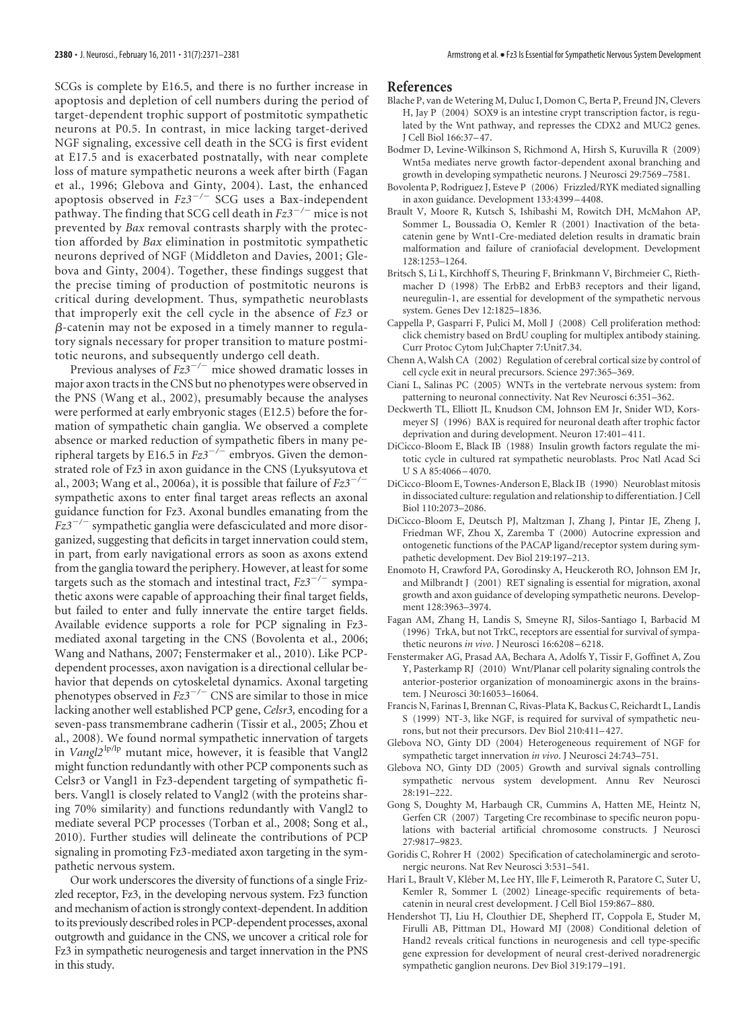SCGs is complete by E16.5, and there is no further increase in apoptosis and depletion of cell numbers during the period of target-dependent trophic support of postmitotic sympathetic neurons at P0.5. In contrast, in mice lacking target-derived NGF signaling, excessive cell death in the SCG is first evident at E17.5 and is exacerbated postnatally, with near complete loss of mature sympathetic neurons a week after birth (Fagan et al., 1996; Glebova and Ginty, 2004). Last, the enhanced apoptosis observed in  $Fz3^{-/-}$  SCG uses a Bax-independent pathway. The finding that SCG cell death in  $Fz3^{-/-}$  mice is not prevented by *Bax* removal contrasts sharply with the protection afforded by *Bax* elimination in postmitotic sympathetic neurons deprived of NGF (Middleton and Davies, 2001; Glebova and Ginty, 2004). Together, these findings suggest that the precise timing of production of postmitotic neurons is critical during development. Thus, sympathetic neuroblasts that improperly exit the cell cycle in the absence of *Fz3* or  $\beta$ -catenin may not be exposed in a timely manner to regulatory signals necessary for proper transition to mature postmitotic neurons, and subsequently undergo cell death.

Previous analyses of  $Fz3^{-/-}$  mice showed dramatic losses in major axon tracts in the CNS but no phenotypes were observed in the PNS (Wang et al., 2002), presumably because the analyses were performed at early embryonic stages (E12.5) before the formation of sympathetic chain ganglia. We observed a complete absence or marked reduction of sympathetic fibers in many peripheral targets by E16.5 in  $Fz3^{-/-}$  embryos. Given the demonstrated role of Fz3 in axon guidance in the CNS (Lyuksyutova et al., 2003; Wang et al., 2006a), it is possible that failure of *Fz3/* sympathetic axons to enter final target areas reflects an axonal guidance function for Fz3. Axonal bundles emanating from the  $Fz3^{-/-}$  sympathetic ganglia were defasciculated and more disorganized, suggesting that deficits in target innervation could stem, in part, from early navigational errors as soon as axons extend from the ganglia toward the periphery. However, at least for some targets such as the stomach and intestinal tract,  $Fz3^{-/-}$  sympathetic axons were capable of approaching their final target fields, but failed to enter and fully innervate the entire target fields. Available evidence supports a role for PCP signaling in Fz3 mediated axonal targeting in the CNS (Bovolenta et al., 2006; Wang and Nathans, 2007; Fenstermaker et al., 2010). Like PCPdependent processes, axon navigation is a directional cellular behavior that depends on cytoskeletal dynamics. Axonal targeting phenotypes observed in  $Fz3^{-/-}$  CNS are similar to those in mice lacking another well established PCP gene, *Celsr3,* encoding for a seven-pass transmembrane cadherin (Tissir et al., 2005; Zhou et al., 2008). We found normal sympathetic innervation of targets in *Vangl2<sup>lp/lp</sup>* mutant mice, however, it is feasible that Vangl2 might function redundantly with other PCP components such as Celsr3 or Vangl1 in Fz3-dependent targeting of sympathetic fibers. Vangl1 is closely related to Vangl2 (with the proteins sharing 70% similarity) and functions redundantly with Vangl2 to mediate several PCP processes (Torban et al., 2008; Song et al., 2010). Further studies will delineate the contributions of PCP signaling in promoting Fz3-mediated axon targeting in the sympathetic nervous system.

Our work underscores the diversity of functions of a single Frizzled receptor, Fz3, in the developing nervous system. Fz3 function and mechanism of action is strongly context-dependent. In addition to its previously described roles in PCP-dependent processes, axonal outgrowth and guidance in the CNS, we uncover a critical role for Fz3 in sympathetic neurogenesis and target innervation in the PNS in this study.

#### **References**

- Blache P, van de Wetering M, Duluc I, Domon C, Berta P, Freund JN, Clevers H, Jay P (2004) SOX9 is an intestine crypt transcription factor, is regulated by the Wnt pathway, and represses the CDX2 and MUC2 genes. J Cell Biol 166:37–47.
- Bodmer D, Levine-Wilkinson S, Richmond A, Hirsh S, Kuruvilla R (2009) Wnt5a mediates nerve growth factor-dependent axonal branching and growth in developing sympathetic neurons. J Neurosci 29:7569 –7581.
- Bovolenta P, Rodriguez J, Esteve P (2006) Frizzled/RYK mediated signalling in axon guidance. Development 133:4399 –4408.
- Brault V, Moore R, Kutsch S, Ishibashi M, Rowitch DH, McMahon AP, Sommer L, Boussadia O, Kemler R (2001) Inactivation of the betacatenin gene by Wnt1-Cre-mediated deletion results in dramatic brain malformation and failure of craniofacial development. Development 128:1253–1264.
- Britsch S, Li L, Kirchhoff S, Theuring F, Brinkmann V, Birchmeier C, Riethmacher D (1998) The ErbB2 and ErbB3 receptors and their ligand, neuregulin-1, are essential for development of the sympathetic nervous system. Genes Dev 12:1825–1836.
- Cappella P, Gasparri F, Pulici M, Moll J (2008) Cell proliferation method: click chemistry based on BrdU coupling for multiplex antibody staining. Curr Protoc Cytom Jul;Chapter 7:Unit7.34.
- Chenn A, Walsh CA (2002) Regulation of cerebral cortical size by control of cell cycle exit in neural precursors. Science 297:365–369.
- Ciani L, Salinas PC (2005) WNTs in the vertebrate nervous system: from patterning to neuronal connectivity. Nat Rev Neurosci 6:351–362.
- Deckwerth TL, Elliott JL, Knudson CM, Johnson EM Jr, Snider WD, Korsmeyer SJ (1996) BAX is required for neuronal death after trophic factor deprivation and during development. Neuron 17:401–411.
- DiCicco-Bloom E, Black IB (1988) Insulin growth factors regulate the mitotic cycle in cultured rat sympathetic neuroblasts. Proc Natl Acad Sci U S A 85:4066 –4070.
- DiCicco-Bloom E, Townes-Anderson E, Black IB (1990) Neuroblast mitosis in dissociated culture: regulation and relationship to differentiation. J Cell Biol 110:2073–2086.
- DiCicco-Bloom E, Deutsch PJ, Maltzman J, Zhang J, Pintar JE, Zheng J, Friedman WF, Zhou X, Zaremba T (2000) Autocrine expression and ontogenetic functions of the PACAP ligand/receptor system during sympathetic development. Dev Biol 219:197–213.
- Enomoto H, Crawford PA, Gorodinsky A, Heuckeroth RO, Johnson EM Jr, and Milbrandt J (2001) RET signaling is essential for migration, axonal growth and axon guidance of developing sympathetic neurons. Development 128:3963–3974.
- Fagan AM, Zhang H, Landis S, Smeyne RJ, Silos-Santiago I, Barbacid M (1996) TrkA, but not TrkC, receptors are essential for survival of sympathetic neurons *in vivo*. J Neurosci 16:6208 –6218.
- Fenstermaker AG, Prasad AA, Bechara A, Adolfs Y, Tissir F, Goffinet A, Zou Y, Pasterkamp RJ (2010) Wnt/Planar cell polarity signaling controls the anterior-posterior organization of monoaminergic axons in the brainstem. J Neurosci 30:16053–16064.
- Francis N, Farinas I, Brennan C, Rivas-Plata K, Backus C, Reichardt L, Landis S (1999) NT-3, like NGF, is required for survival of sympathetic neurons, but not their precursors. Dev Biol 210:411–427.
- Glebova NO, Ginty DD (2004) Heterogeneous requirement of NGF for sympathetic target innervation *in vivo*. J Neurosci 24:743–751.
- Glebova NO, Ginty DD (2005) Growth and survival signals controlling sympathetic nervous system development. Annu Rev Neurosci 28:191–222.
- Gong S, Doughty M, Harbaugh CR, Cummins A, Hatten ME, Heintz N, Gerfen CR (2007) Targeting Cre recombinase to specific neuron populations with bacterial artificial chromosome constructs. J Neurosci 27:9817–9823.
- Goridis C, Rohrer H (2002) Specification of catecholaminergic and serotonergic neurons. Nat Rev Neurosci 3:531–541.
- Hari L, Brault V, Kléber M, Lee HY, Ille F, Leimeroth R, Paratore C, Suter U, Kemler R, Sommer L (2002) Lineage-specific requirements of betacatenin in neural crest development. J Cell Biol 159:867–880.
- Hendershot TJ, Liu H, Clouthier DE, Shepherd IT, Coppola E, Studer M, Firulli AB, Pittman DL, Howard MJ (2008) Conditional deletion of Hand2 reveals critical functions in neurogenesis and cell type-specific gene expression for development of neural crest-derived noradrenergic sympathetic ganglion neurons. Dev Biol 319:179 –191.